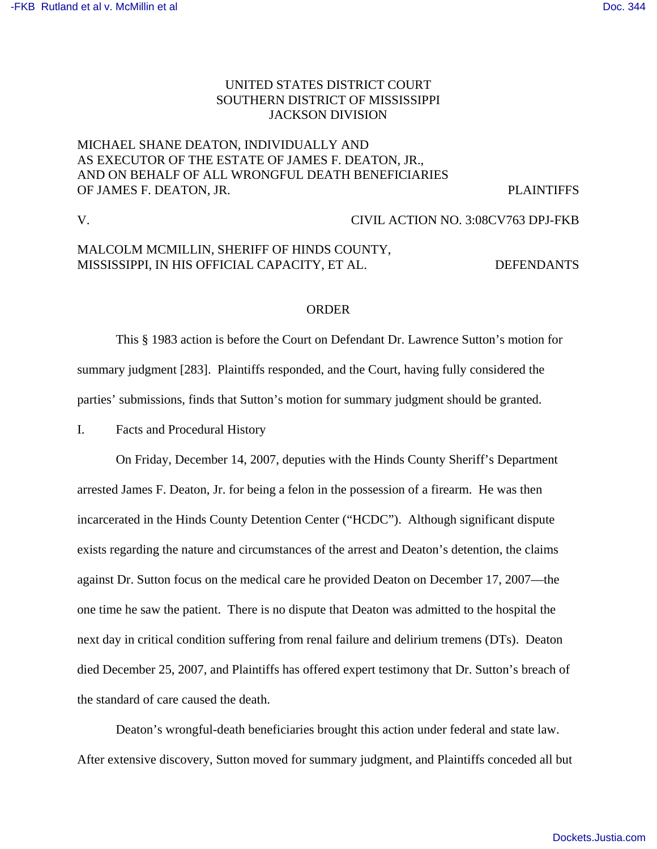### UNITED STATES DISTRICT COURT SOUTHERN DISTRICT OF MISSISSIPPI JACKSON DIVISION

## MICHAEL SHANE DEATON, INDIVIDUALLY AND AS EXECUTOR OF THE ESTATE OF JAMES F. DEATON, JR., AND ON BEHALF OF ALL WRONGFUL DEATH BENEFICIARIES OF JAMES F. DEATON, JR. PLAINTIFFS

V. CIVIL ACTION NO. 3:08CV763 DPJ-FKB

# MALCOLM MCMILLIN, SHERIFF OF HINDS COUNTY, MISSISSIPPI, IN HIS OFFICIAL CAPACITY, ET AL. DEFENDANTS

#### ORDER

This § 1983 action is before the Court on Defendant Dr. Lawrence Sutton's motion for summary judgment [283]. Plaintiffs responded, and the Court, having fully considered the parties' submissions, finds that Sutton's motion for summary judgment should be granted.

I. Facts and Procedural History

On Friday, December 14, 2007, deputies with the Hinds County Sheriff's Department arrested James F. Deaton, Jr. for being a felon in the possession of a firearm. He was then incarcerated in the Hinds County Detention Center ("HCDC"). Although significant dispute exists regarding the nature and circumstances of the arrest and Deaton's detention, the claims against Dr. Sutton focus on the medical care he provided Deaton on December 17, 2007—the one time he saw the patient. There is no dispute that Deaton was admitted to the hospital the next day in critical condition suffering from renal failure and delirium tremens (DTs). Deaton died December 25, 2007, and Plaintiffs has offered expert testimony that Dr. Sutton's breach of the standard of care caused the death.

Deaton's wrongful-death beneficiaries brought this action under federal and state law. After extensive discovery, Sutton moved for summary judgment, and Plaintiffs conceded all but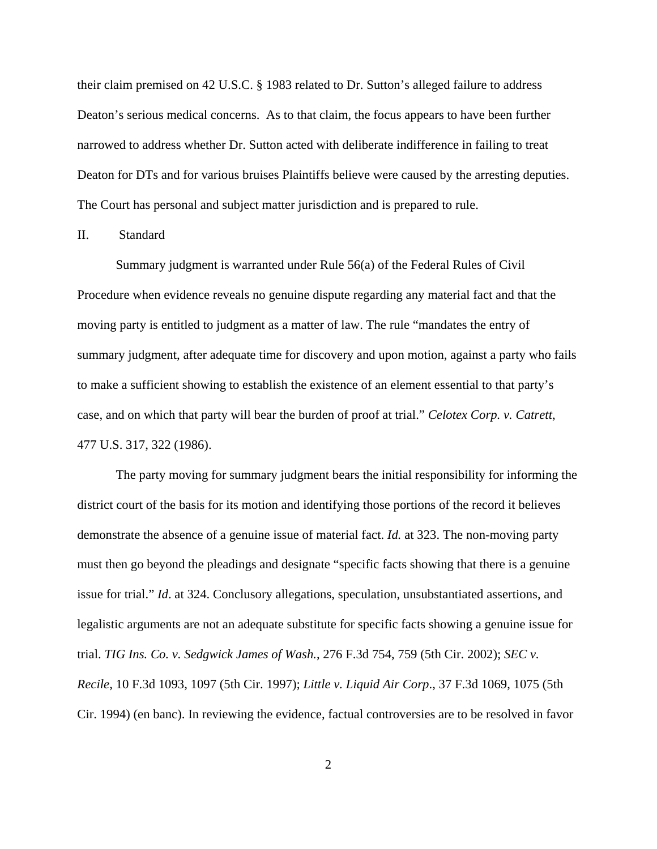their claim premised on 42 U.S.C. § 1983 related to Dr. Sutton's alleged failure to address Deaton's serious medical concerns. As to that claim, the focus appears to have been further narrowed to address whether Dr. Sutton acted with deliberate indifference in failing to treat Deaton for DTs and for various bruises Plaintiffs believe were caused by the arresting deputies. The Court has personal and subject matter jurisdiction and is prepared to rule.

II. Standard

Summary judgment is warranted under Rule 56(a) of the Federal Rules of Civil Procedure when evidence reveals no genuine dispute regarding any material fact and that the moving party is entitled to judgment as a matter of law. The rule "mandates the entry of summary judgment, after adequate time for discovery and upon motion, against a party who fails to make a sufficient showing to establish the existence of an element essential to that party's case, and on which that party will bear the burden of proof at trial." *Celotex Corp. v. Catrett*, 477 U.S. 317, 322 (1986).

The party moving for summary judgment bears the initial responsibility for informing the district court of the basis for its motion and identifying those portions of the record it believes demonstrate the absence of a genuine issue of material fact. *Id.* at 323. The non-moving party must then go beyond the pleadings and designate "specific facts showing that there is a genuine issue for trial." *Id*. at 324. Conclusory allegations, speculation, unsubstantiated assertions, and legalistic arguments are not an adequate substitute for specific facts showing a genuine issue for trial. *TIG Ins. Co. v. Sedgwick James of Wash.*, 276 F.3d 754, 759 (5th Cir. 2002); *SEC v. Recile*, 10 F.3d 1093, 1097 (5th Cir. 1997); *Little v. Liquid Air Corp*., 37 F.3d 1069, 1075 (5th Cir. 1994) (en banc). In reviewing the evidence, factual controversies are to be resolved in favor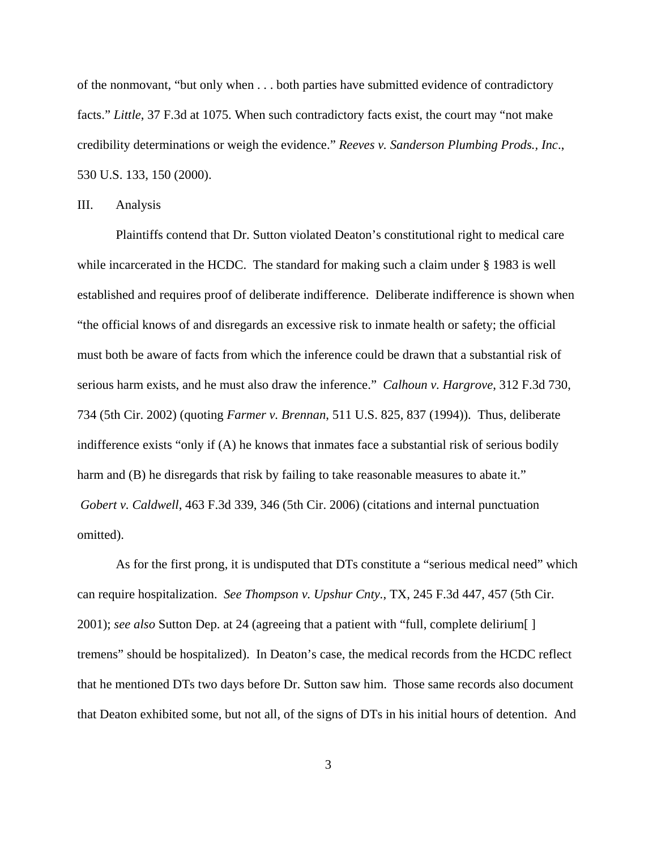of the nonmovant, "but only when . . . both parties have submitted evidence of contradictory facts." *Little*, 37 F.3d at 1075. When such contradictory facts exist, the court may "not make credibility determinations or weigh the evidence." *Reeves v. Sanderson Plumbing Prods., Inc*., 530 U.S. 133, 150 (2000).

III. Analysis

Plaintiffs contend that Dr. Sutton violated Deaton's constitutional right to medical care while incarcerated in the HCDC. The standard for making such a claim under § 1983 is well established and requires proof of deliberate indifference. Deliberate indifference is shown when "the official knows of and disregards an excessive risk to inmate health or safety; the official must both be aware of facts from which the inference could be drawn that a substantial risk of serious harm exists, and he must also draw the inference." *Calhoun v. Hargrove*, 312 F.3d 730, 734 (5th Cir. 2002) (quoting *Farmer v. Brennan*, 511 U.S. 825, 837 (1994)). Thus, deliberate indifference exists "only if (A) he knows that inmates face a substantial risk of serious bodily harm and (B) he disregards that risk by failing to take reasonable measures to abate it." *Gobert v. Caldwell*, 463 F.3d 339, 346 (5th Cir. 2006) (citations and internal punctuation omitted).

As for the first prong, it is undisputed that DTs constitute a "serious medical need" which can require hospitalization. *See Thompson v. Upshur Cnty.*, TX, 245 F.3d 447, 457 (5th Cir. 2001); *see also* Sutton Dep. at 24 (agreeing that a patient with "full, complete delirium[ ] tremens" should be hospitalized). In Deaton's case, the medical records from the HCDC reflect that he mentioned DTs two days before Dr. Sutton saw him. Those same records also document that Deaton exhibited some, but not all, of the signs of DTs in his initial hours of detention. And

3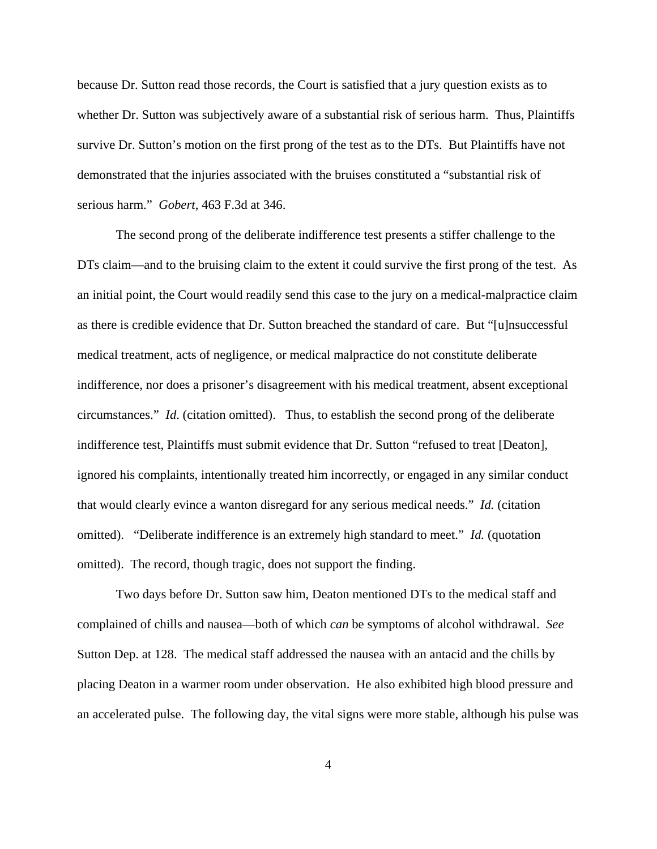because Dr. Sutton read those records, the Court is satisfied that a jury question exists as to whether Dr. Sutton was subjectively aware of a substantial risk of serious harm. Thus, Plaintiffs survive Dr. Sutton's motion on the first prong of the test as to the DTs. But Plaintiffs have not demonstrated that the injuries associated with the bruises constituted a "substantial risk of serious harm." *Gobert*, 463 F.3d at 346.

The second prong of the deliberate indifference test presents a stiffer challenge to the DTs claim—and to the bruising claim to the extent it could survive the first prong of the test. As an initial point, the Court would readily send this case to the jury on a medical-malpractice claim as there is credible evidence that Dr. Sutton breached the standard of care. But "[u]nsuccessful medical treatment, acts of negligence, or medical malpractice do not constitute deliberate indifference, nor does a prisoner's disagreement with his medical treatment, absent exceptional circumstances." *Id*. (citation omitted). Thus, to establish the second prong of the deliberate indifference test, Plaintiffs must submit evidence that Dr. Sutton "refused to treat [Deaton], ignored his complaints, intentionally treated him incorrectly, or engaged in any similar conduct that would clearly evince a wanton disregard for any serious medical needs." *Id.* (citation omitted). "Deliberate indifference is an extremely high standard to meet." *Id.* (quotation omitted). The record, though tragic, does not support the finding.

Two days before Dr. Sutton saw him, Deaton mentioned DTs to the medical staff and complained of chills and nausea—both of which *can* be symptoms of alcohol withdrawal. *See* Sutton Dep. at 128. The medical staff addressed the nausea with an antacid and the chills by placing Deaton in a warmer room under observation. He also exhibited high blood pressure and an accelerated pulse. The following day, the vital signs were more stable, although his pulse was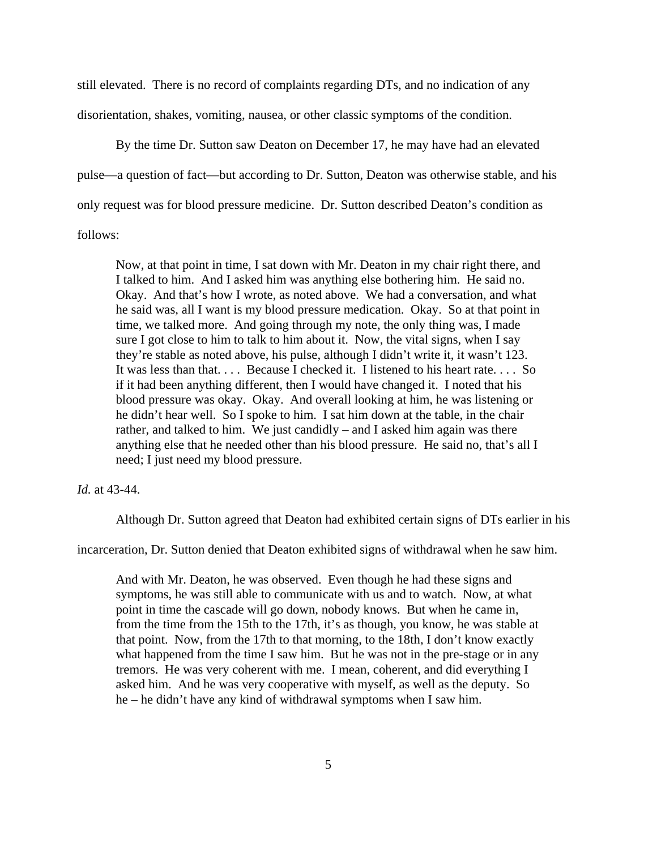still elevated. There is no record of complaints regarding DTs, and no indication of any disorientation, shakes, vomiting, nausea, or other classic symptoms of the condition.

By the time Dr. Sutton saw Deaton on December 17, he may have had an elevated pulse—a question of fact—but according to Dr. Sutton, Deaton was otherwise stable, and his only request was for blood pressure medicine. Dr. Sutton described Deaton's condition as follows:

Now, at that point in time, I sat down with Mr. Deaton in my chair right there, and I talked to him. And I asked him was anything else bothering him. He said no. Okay. And that's how I wrote, as noted above. We had a conversation, and what he said was, all I want is my blood pressure medication. Okay. So at that point in time, we talked more. And going through my note, the only thing was, I made sure I got close to him to talk to him about it. Now, the vital signs, when I say they're stable as noted above, his pulse, although I didn't write it, it wasn't 123. It was less than that. . . . Because I checked it. I listened to his heart rate. . . . So if it had been anything different, then I would have changed it. I noted that his blood pressure was okay. Okay. And overall looking at him, he was listening or he didn't hear well. So I spoke to him. I sat him down at the table, in the chair rather, and talked to him. We just candidly – and I asked him again was there anything else that he needed other than his blood pressure. He said no, that's all I need; I just need my blood pressure.

### *Id.* at 43-44.

Although Dr. Sutton agreed that Deaton had exhibited certain signs of DTs earlier in his

incarceration, Dr. Sutton denied that Deaton exhibited signs of withdrawal when he saw him.

And with Mr. Deaton, he was observed. Even though he had these signs and symptoms, he was still able to communicate with us and to watch. Now, at what point in time the cascade will go down, nobody knows. But when he came in, from the time from the 15th to the 17th, it's as though, you know, he was stable at that point. Now, from the 17th to that morning, to the 18th, I don't know exactly what happened from the time I saw him. But he was not in the pre-stage or in any tremors. He was very coherent with me. I mean, coherent, and did everything I asked him. And he was very cooperative with myself, as well as the deputy. So he – he didn't have any kind of withdrawal symptoms when I saw him.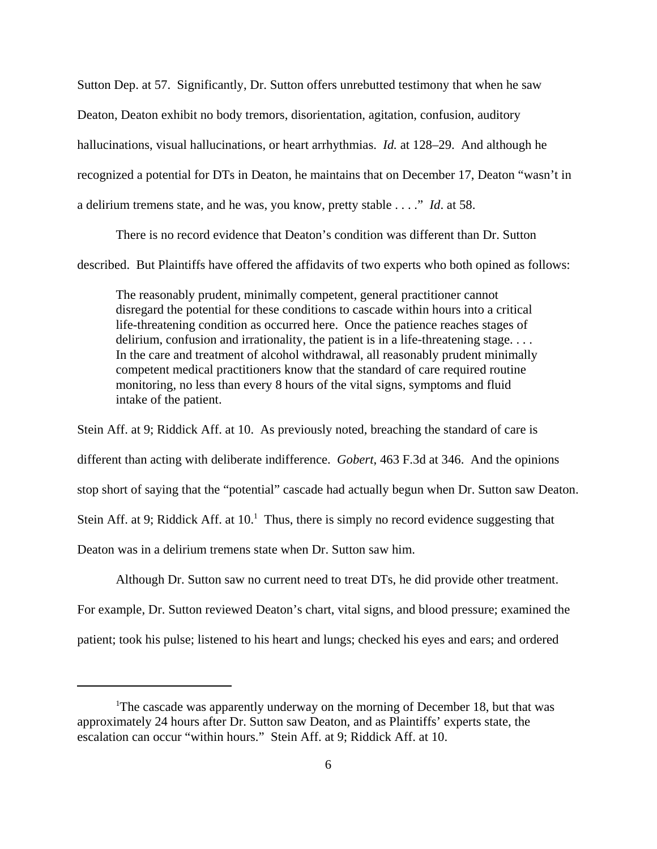Sutton Dep. at 57. Significantly, Dr. Sutton offers unrebutted testimony that when he saw Deaton, Deaton exhibit no body tremors, disorientation, agitation, confusion, auditory hallucinations, visual hallucinations, or heart arrhythmias. *Id.* at 128–29. And although he recognized a potential for DTs in Deaton, he maintains that on December 17, Deaton "wasn't in a delirium tremens state, and he was, you know, pretty stable . . . ." *Id*. at 58.

 There is no record evidence that Deaton's condition was different than Dr. Sutton described. But Plaintiffs have offered the affidavits of two experts who both opined as follows:

The reasonably prudent, minimally competent, general practitioner cannot disregard the potential for these conditions to cascade within hours into a critical life-threatening condition as occurred here. Once the patience reaches stages of delirium, confusion and irrationality, the patient is in a life-threatening stage. . . . In the care and treatment of alcohol withdrawal, all reasonably prudent minimally competent medical practitioners know that the standard of care required routine monitoring, no less than every 8 hours of the vital signs, symptoms and fluid intake of the patient.

Stein Aff. at 9; Riddick Aff. at 10. As previously noted, breaching the standard of care is different than acting with deliberate indifference. *Gobert*, 463 F.3d at 346. And the opinions stop short of saying that the "potential" cascade had actually begun when Dr. Sutton saw Deaton. Stein Aff. at 9; Riddick Aff. at  $10<sup>1</sup>$  Thus, there is simply no record evidence suggesting that Deaton was in a delirium tremens state when Dr. Sutton saw him.

Although Dr. Sutton saw no current need to treat DTs, he did provide other treatment.

For example, Dr. Sutton reviewed Deaton's chart, vital signs, and blood pressure; examined the patient; took his pulse; listened to his heart and lungs; checked his eyes and ears; and ordered

<sup>&</sup>lt;sup>1</sup>The cascade was apparently underway on the morning of December 18, but that was approximately 24 hours after Dr. Sutton saw Deaton, and as Plaintiffs' experts state, the escalation can occur "within hours." Stein Aff. at 9; Riddick Aff. at 10.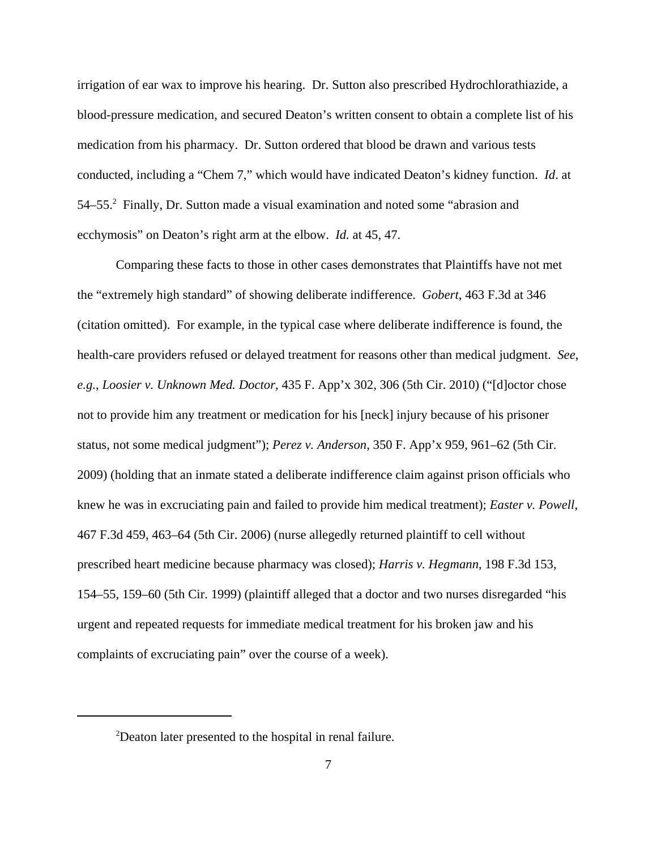irrigation of ear wax to improve his hearing. Dr. Sutton also prescribed Hydrochlorathiazide, a blood-pressure medication, and secured Deaton's written consent to obtain a complete list of his medication from his pharmacy. Dr. Sutton ordered that blood be drawn and various tests conducted, including a "Chem 7," which would have indicated Deaton's kidney function. *Id*. at 54–55.<sup>2</sup> Finally, Dr. Sutton made a visual examination and noted some "abrasion and ecchymosis" on Deaton's right arm at the elbow. *Id.* at 45, 47.

Comparing these facts to those in other cases demonstrates that Plaintiffs have not met the "extremely high standard" of showing deliberate indifference. *Gobert*, 463 F.3d at 346 (citation omitted). For example, in the typical case where deliberate indifference is found, the health-care providers refused or delayed treatment for reasons other than medical judgment. *See*, *e.g.*, *Loosier v. Unknown Med. Doctor*, 435 F. App'x 302, 306 (5th Cir. 2010) ("[d]octor chose not to provide him any treatment or medication for his [neck] injury because of his prisoner status, not some medical judgment"); *Perez v. Anderson*, 350 F. App'x 959, 961–62 (5th Cir. 2009) (holding that an inmate stated a deliberate indifference claim against prison officials who knew he was in excruciating pain and failed to provide him medical treatment); *Easter v. Powell*, 467 F.3d 459, 463–64 (5th Cir. 2006) (nurse allegedly returned plaintiff to cell without prescribed heart medicine because pharmacy was closed); *Harris v. Hegmann*, 198 F.3d 153, 154–55, 159–60 (5th Cir. 1999) (plaintiff alleged that a doctor and two nurses disregarded "his urgent and repeated requests for immediate medical treatment for his broken jaw and his complaints of excruciating pain" over the course of a week).

<sup>&</sup>lt;sup>2</sup>Deaton later presented to the hospital in renal failure.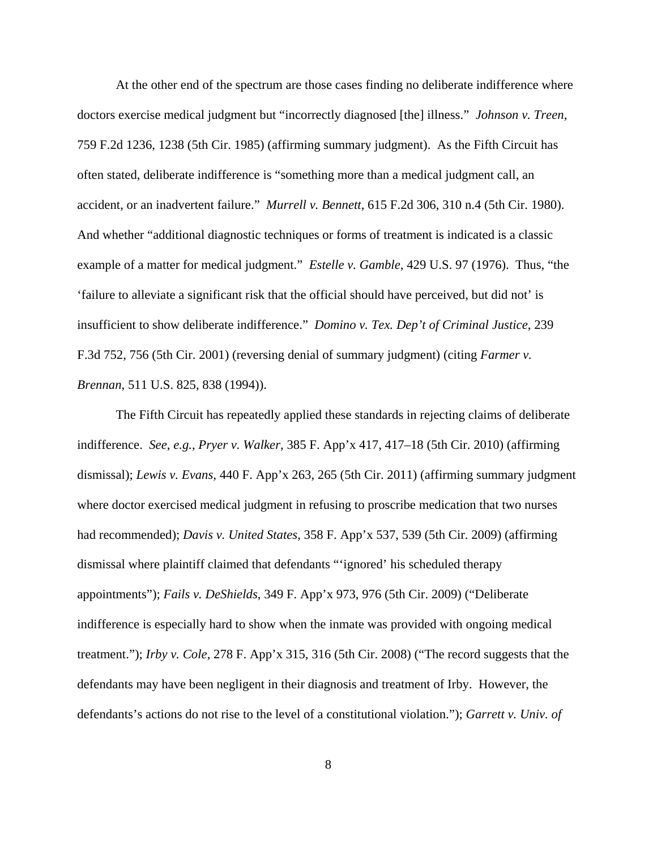At the other end of the spectrum are those cases finding no deliberate indifference where doctors exercise medical judgment but "incorrectly diagnosed [the] illness." *Johnson v. Treen*, 759 F.2d 1236, 1238 (5th Cir. 1985) (affirming summary judgment). As the Fifth Circuit has often stated, deliberate indifference is "something more than a medical judgment call, an accident, or an inadvertent failure." *Murrell v. Bennett*, 615 F.2d 306, 310 n.4 (5th Cir. 1980). And whether "additional diagnostic techniques or forms of treatment is indicated is a classic example of a matter for medical judgment." *Estelle v. Gamble*, 429 U.S. 97 (1976). Thus, "the 'failure to alleviate a significant risk that the official should have perceived, but did not' is insufficient to show deliberate indifference." *Domino v. Tex. Dep't of Criminal Justice*, 239 F.3d 752, 756 (5th Cir. 2001) (reversing denial of summary judgment) (citing *Farmer v. Brennan*, 511 U.S. 825, 838 (1994)).

The Fifth Circuit has repeatedly applied these standards in rejecting claims of deliberate indifference. *See*, *e.g.*, *Pryer v. Walker*, 385 F. App'x 417, 417–18 (5th Cir. 2010) (affirming dismissal); *Lewis v. Evans*, 440 F. App'x 263, 265 (5th Cir. 2011) (affirming summary judgment where doctor exercised medical judgment in refusing to proscribe medication that two nurses had recommended); *Davis v. United States*, 358 F. App'x 537, 539 (5th Cir. 2009) (affirming dismissal where plaintiff claimed that defendants "'ignored' his scheduled therapy appointments"); *Fails v. DeShields*, 349 F. App'x 973, 976 (5th Cir. 2009) ("Deliberate indifference is especially hard to show when the inmate was provided with ongoing medical treatment."); *Irby v. Cole*, 278 F. App'x 315, 316 (5th Cir. 2008) ("The record suggests that the defendants may have been negligent in their diagnosis and treatment of Irby. However, the defendants's actions do not rise to the level of a constitutional violation."); *Garrett v. Univ. of*

8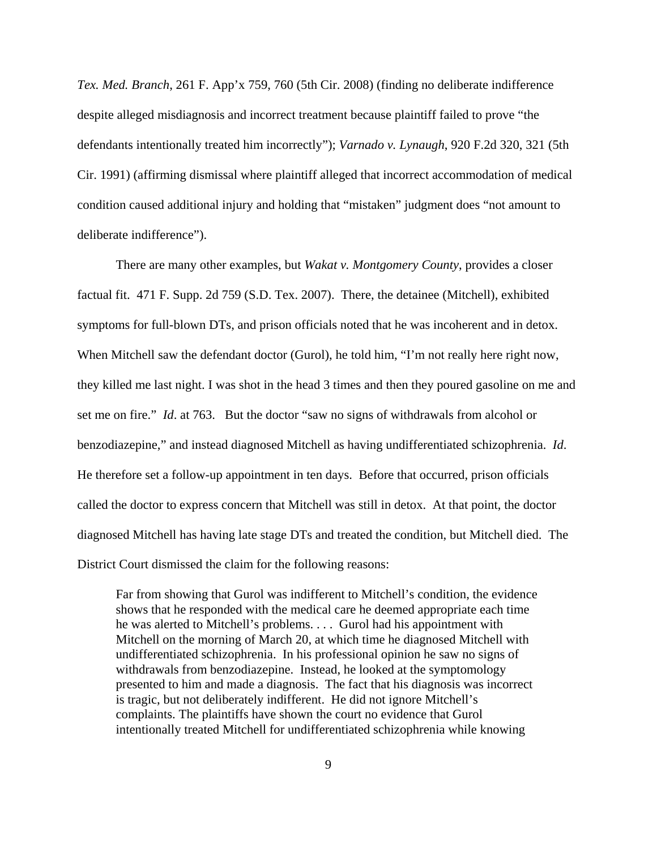*Tex. Med. Branch*, 261 F. App'x 759, 760 (5th Cir. 2008) (finding no deliberate indifference despite alleged misdiagnosis and incorrect treatment because plaintiff failed to prove "the defendants intentionally treated him incorrectly"); *Varnado v. Lynaugh*, 920 F.2d 320, 321 (5th Cir. 1991) (affirming dismissal where plaintiff alleged that incorrect accommodation of medical condition caused additional injury and holding that "mistaken" judgment does "not amount to deliberate indifference").

There are many other examples, but *Wakat v. Montgomery County*, provides a closer factual fit. 471 F. Supp. 2d 759 (S.D. Tex. 2007). There, the detainee (Mitchell), exhibited symptoms for full-blown DTs, and prison officials noted that he was incoherent and in detox. When Mitchell saw the defendant doctor (Gurol), he told him, "I'm not really here right now, they killed me last night. I was shot in the head 3 times and then they poured gasoline on me and set me on fire." *Id*. at 763. But the doctor "saw no signs of withdrawals from alcohol or benzodiazepine," and instead diagnosed Mitchell as having undifferentiated schizophrenia. *Id*. He therefore set a follow-up appointment in ten days. Before that occurred, prison officials called the doctor to express concern that Mitchell was still in detox. At that point, the doctor diagnosed Mitchell has having late stage DTs and treated the condition, but Mitchell died. The District Court dismissed the claim for the following reasons:

Far from showing that Gurol was indifferent to Mitchell's condition, the evidence shows that he responded with the medical care he deemed appropriate each time he was alerted to Mitchell's problems. . . . Gurol had his appointment with Mitchell on the morning of March 20, at which time he diagnosed Mitchell with undifferentiated schizophrenia. In his professional opinion he saw no signs of withdrawals from benzodiazepine. Instead, he looked at the symptomology presented to him and made a diagnosis. The fact that his diagnosis was incorrect is tragic, but not deliberately indifferent. He did not ignore Mitchell's complaints. The plaintiffs have shown the court no evidence that Gurol intentionally treated Mitchell for undifferentiated schizophrenia while knowing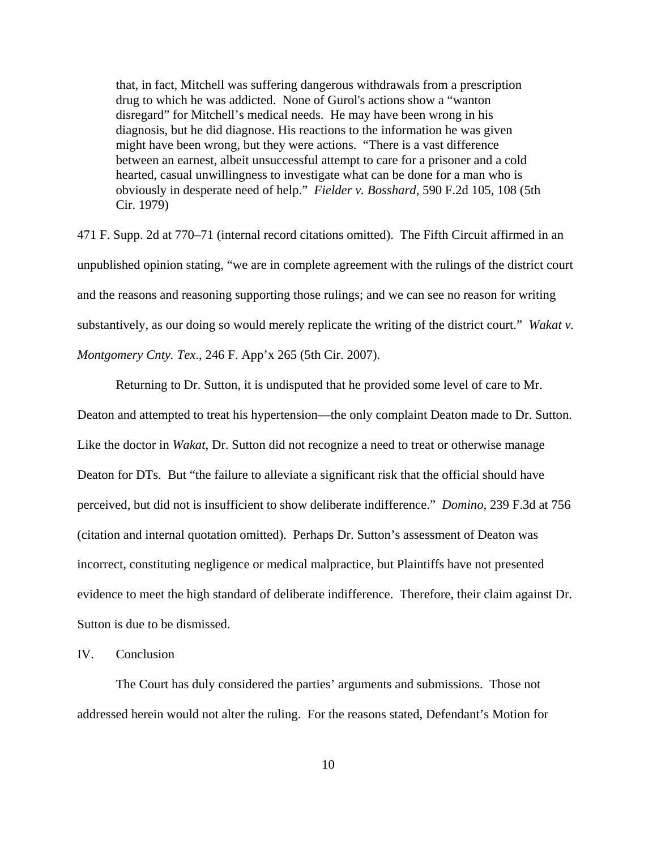that, in fact, Mitchell was suffering dangerous withdrawals from a prescription drug to which he was addicted. None of Gurol's actions show a "wanton disregard" for Mitchell's medical needs. He may have been wrong in his diagnosis, but he did diagnose. His reactions to the information he was given might have been wrong, but they were actions. "There is a vast difference between an earnest, albeit unsuccessful attempt to care for a prisoner and a cold hearted, casual unwillingness to investigate what can be done for a man who is obviously in desperate need of help." *Fielder v. Bosshard*, 590 F.2d 105, 108 (5th Cir. 1979)

471 F. Supp. 2d at 770–71 (internal record citations omitted). The Fifth Circuit affirmed in an unpublished opinion stating, "we are in complete agreement with the rulings of the district court and the reasons and reasoning supporting those rulings; and we can see no reason for writing substantively, as our doing so would merely replicate the writing of the district court." *Wakat v. Montgomery Cnty. Tex*., 246 F. App'x 265 (5th Cir. 2007).

Returning to Dr. Sutton, it is undisputed that he provided some level of care to Mr. Deaton and attempted to treat his hypertension—the only complaint Deaton made to Dr. Sutton. Like the doctor in *Wakat*, Dr. Sutton did not recognize a need to treat or otherwise manage Deaton for DTs. But "the failure to alleviate a significant risk that the official should have perceived, but did not is insufficient to show deliberate indifference." *Domino*, 239 F.3d at 756 (citation and internal quotation omitted). Perhaps Dr. Sutton's assessment of Deaton was incorrect, constituting negligence or medical malpractice, but Plaintiffs have not presented evidence to meet the high standard of deliberate indifference. Therefore, their claim against Dr. Sutton is due to be dismissed.

#### IV. Conclusion

The Court has duly considered the parties' arguments and submissions. Those not addressed herein would not alter the ruling. For the reasons stated, Defendant's Motion for